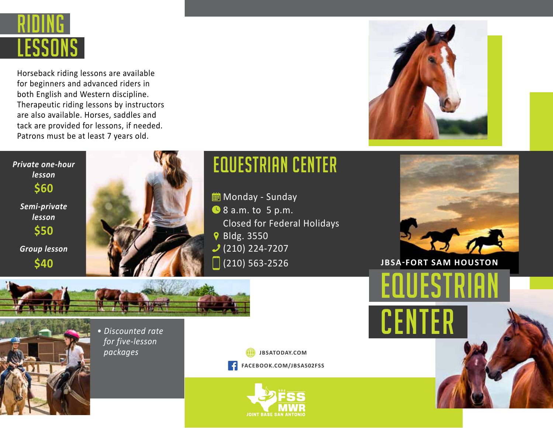

Horseback riding lessons are available for beginners and advanced riders in both English and Western discipline. Therapeutic riding lessons by instructors are also available. Horses, saddles and tack are provided for lessons, if needed. Patrons must be at least 7 years old.



## *Private one-hour lesson Semi-private lesson Group lesson* **\$60 \$50**

**\$40**



## EQUESTRIAN center

**in** Monday - Sunday **8** 8 a.m. to 5 p.m. Closed for Federal Holidays **የ** Bldg. 3550  $(210)$  224-7207  $(210) 563 - 2526$ 



**JBSA-FORT SAM HOUSTON**

**EQUESTRIAN** 

**CENTER** 





*• Discounted rate for five-lesson packages*